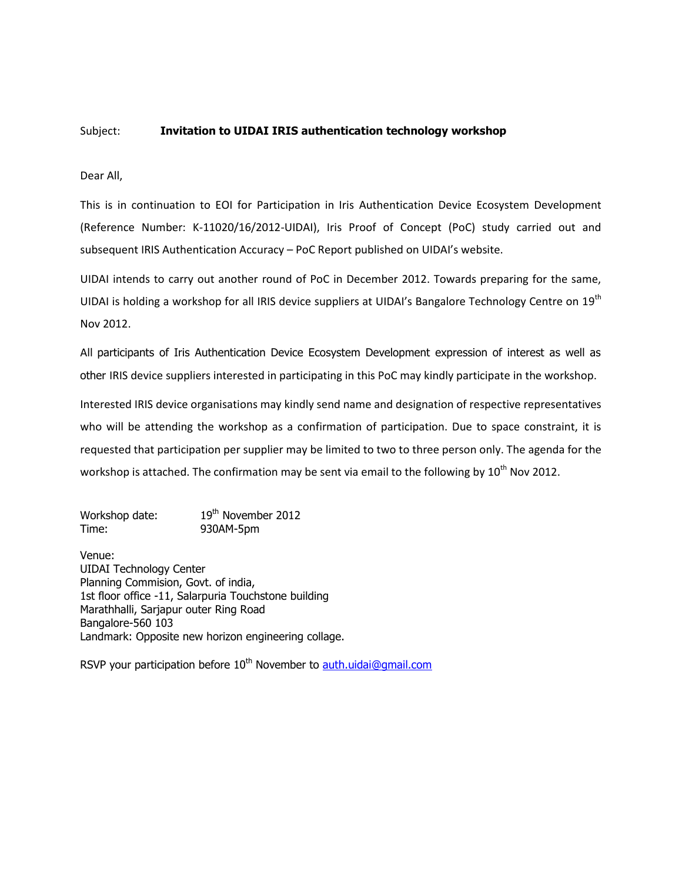## Subject: **Invitation to UIDAI IRIS authentication technology workshop**

Dear All,

This is in continuation to [EOI for Participation in Iris Authentication Device Ecosystem Development](http://uidai.gov.in/images/FrontPageUpdates/eoi_for_iris_authentication.pdf) (Reference Number: K-11020/16/2012-UIDAI), Iris Proof of Concept (PoC) study carried out and subsequen[t IRIS Authentication Accuracy](http://uidai.gov.in/images/iris_poc_report_14092012.pdf) – PoC Report published on UIDAI's website.

UIDAI intends to carry out another round of PoC in December 2012. Towards preparing for the same, UIDAI is holding a workshop for all IRIS device suppliers at UIDAI's Bangalore Technology Centre on 19<sup>th</sup> Nov 2012.

All participants of Iris Authentication Device Ecosystem Development expression of interest as well as other IRIS device suppliers interested in participating in this PoC may kindly participate in the workshop.

Interested IRIS device organisations may kindly send name and designation of respective representatives who will be attending the workshop as a confirmation of participation. Due to space constraint, it is requested that participation per supplier may be limited to two to three person only. The agenda for the workshop is attached. The confirmation may be sent via email to the following by  $10^{th}$  Nov 2012.

Workshop date: 19<sup>th</sup> November 2012 Time: 930AM-5pm

Venue: UIDAI Technology Center Planning Commision, Govt. of india, 1st floor office -11, Salarpuria Touchstone building Marathhalli, Sarjapur outer Ring Road Bangalore-560 103 Landmark: Opposite new horizon engineering collage.

RSVP your participation before  $10^{th}$  November to [auth.uidai@gmail.com](mailto:auth.uidai@gmail.com)